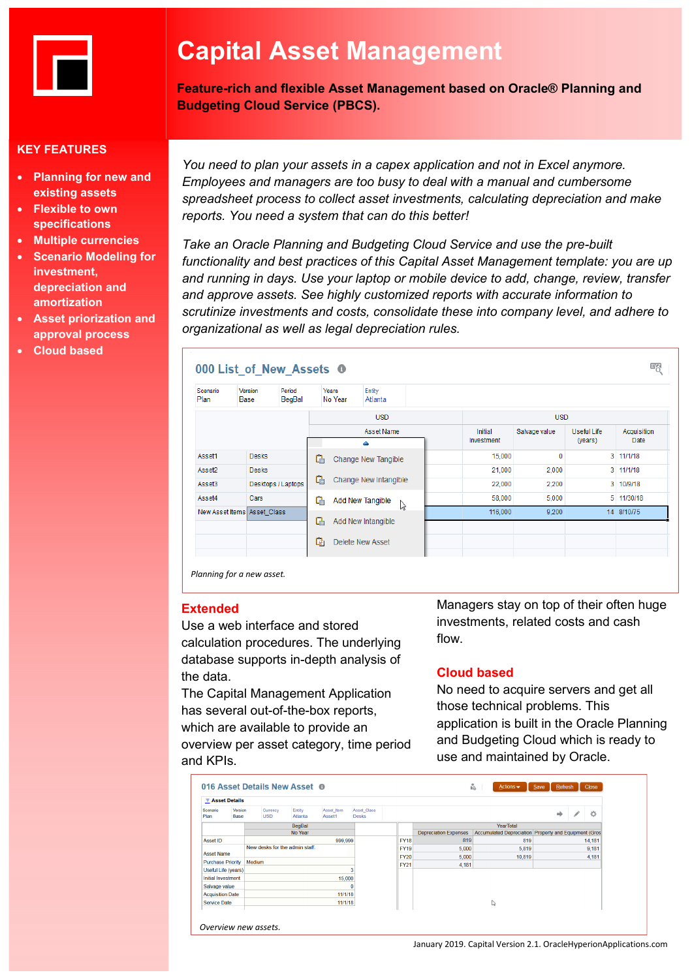

## **Capital Asset Management**

**Feature-rich and flexible Asset Management based on Oracle® Planning and Budgeting Cloud Service (PBCS).** 

### **KEY FEATURES**

- **Planning for new and existing assets**
- **Flexible to own specifications**
- **Multiple currencies**
- **Scenario Modeling for investment, depreciation and amortization**
- **Asset priorization and approval process**
- **Cloud based**

*You need to plan your assets in a capex application and not in Excel anymore. Employees and managers are too busy to deal with a manual and cumbersome spreadsheet process to collect asset investments, calculating depreciation and make reports. You need a system that can do this better!*

*Take an Oracle Planning and Budgeting Cloud Service and use the pre-built functionality and best practices of this Capital Asset Management template: you are up and running in days. Use your laptop or mobile device to add, change, review, transfer and approve assets. See highly customized reports with accurate information to scrutinize investments and costs, consolidate these into company level, and adhere to organizational as well as legal depreciation rules.*

#### 000 List of New Assets <sup>®</sup>

| Scenario<br>Plan              | Version<br><b>Base</b> | Period<br>BegBal   |            | Years<br>No Year       | Entity<br>Atlanta                  |        |                       |               |                        |                     |  |  |
|-------------------------------|------------------------|--------------------|------------|------------------------|------------------------------------|--------|-----------------------|---------------|------------------------|---------------------|--|--|
|                               |                        |                    | <b>USD</b> |                        |                                    |        | <b>USD</b>            |               |                        |                     |  |  |
|                               |                        |                    |            |                        | Asset Name<br>▵                    |        | Initial<br>Investment | Salvage value | Useful Life<br>(years) | Acquisition<br>Date |  |  |
| Asset1                        | <b>Desks</b>           |                    | Q,         |                        | Change New Tangible                |        | 15,000                | 0             | 3                      | 11/1/18             |  |  |
| Asset2                        | <b>Desks</b>           |                    |            | Change New Intangible  |                                    | 21,000 | 2,000                 | 3             | 11/1/18                |                     |  |  |
| Asset3                        |                        | Desktops / Laptops | G          |                        |                                    | 22,000 | 2,200                 | 3             | 10/9/18                |                     |  |  |
| Asset4                        | Cars                   |                    |            | O.<br>Add New Tangible |                                    |        | 58,000                | 5,000         | 5                      | 11/30/18            |  |  |
| New Asset Items   Asset Class |                        |                    | Ġ          |                        | $\mathbb{Z}$<br>Add New Intangible |        | 116,000               | 9,200         |                        | 14 8/10/75          |  |  |
|                               |                        |                    | c          |                        | <b>Delete New Asset</b>            |        |                       |               |                        |                     |  |  |

*Planning for a new asset.*

#### **Extended**

Use a web interface and stored calculation procedures. The underlying database supports in-depth analysis of the data.

The Capital Management Application has several out-of-the-box reports, which are available to provide an overview per asset category, time period and KPIs.

Managers stay on top of their often huge investments, related costs and cash flow.

™⊗

#### **Cloud based**

No need to acquire servers and get all those technical problems. This application is built in the Oracle Planning and Budgeting Cloud which is ready to use and maintained by Oracle.

| ▼ Asset Details         |                                    |                                |                                      |                      |                             |             |                              |                                                       |       |   |  |
|-------------------------|------------------------------------|--------------------------------|--------------------------------------|----------------------|-----------------------------|-------------|------------------------------|-------------------------------------------------------|-------|---|--|
| Scenario<br>Plan        | Version<br>Base                    | Currency<br><b>USD</b>         | Entity<br>Atlanta                    | Asset Item<br>Asset1 | Asset Class<br><b>Desks</b> |             |                              |                                                       | ⇒     | Ö |  |
|                         |                                    |                                | BegBal                               |                      |                             |             | YearTotal                    |                                                       |       |   |  |
|                         |                                    |                                | No Year                              |                      |                             |             | <b>Depreciation Expenses</b> | Accumulated Depreciation Property and Equipment (Gros |       |   |  |
| Asset ID                |                                    |                                | 819<br><b>FY18</b><br>999,999<br>819 |                      |                             |             |                              | 14,181                                                |       |   |  |
|                         |                                    | New desks for the admin staff. |                                      |                      |                             | <b>FY19</b> | 5.000                        | 5,819                                                 | 9,181 |   |  |
| <b>Asset Name</b>       |                                    |                                |                                      |                      |                             | <b>FY20</b> | 5.000                        | 10.819                                                | 4,181 |   |  |
|                         | <b>Purchase Priority</b><br>Medium |                                |                                      |                      |                             | <b>FY21</b> | 4,181                        |                                                       |       |   |  |
| Useful Life (years)     |                                    |                                |                                      |                      |                             |             |                              |                                                       |       |   |  |
| Initial Investment      | 15,000                             |                                |                                      |                      |                             |             |                              |                                                       |       |   |  |
| Salvage value           |                                    |                                |                                      |                      |                             |             |                              |                                                       |       |   |  |
| <b>Acquisition Date</b> |                                    | 11/1/18                        |                                      |                      |                             |             |                              |                                                       |       |   |  |
| Service Date            |                                    | 11/1/18                        |                                      |                      |                             |             | ↳                            |                                                       |       |   |  |